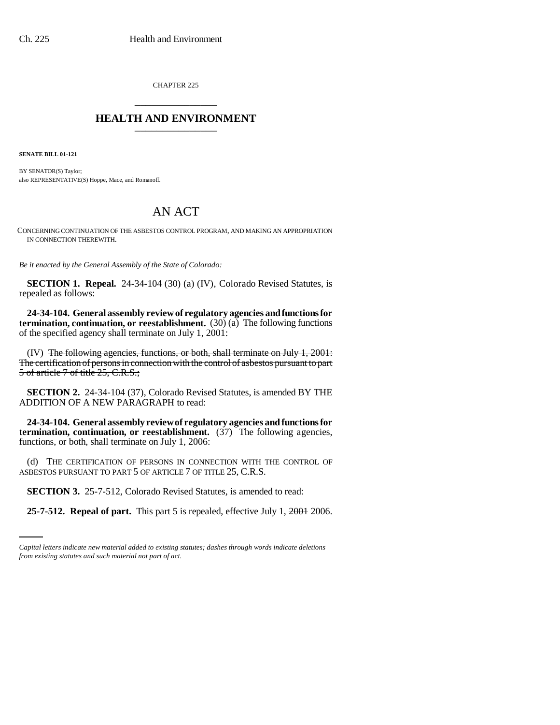CHAPTER 225 \_\_\_\_\_\_\_\_\_\_\_\_\_\_\_

## **HEALTH AND ENVIRONMENT** \_\_\_\_\_\_\_\_\_\_\_\_\_\_\_

**SENATE BILL 01-121**

BY SENATOR(S) Taylor; also REPRESENTATIVE(S) Hoppe, Mace, and Romanoff.

## AN ACT

CONCERNING CONTINUATION OF THE ASBESTOS CONTROL PROGRAM, AND MAKING AN APPROPRIATION IN CONNECTION THEREWITH.

*Be it enacted by the General Assembly of the State of Colorado:*

**SECTION 1. Repeal.** 24-34-104 (30) (a) (IV), Colorado Revised Statutes, is repealed as follows:

**24-34-104. General assembly review of regulatory agencies and functions for termination, continuation, or reestablishment.** (30) (a) The following functions of the specified agency shall terminate on July 1, 2001:

(IV) The following agencies, functions, or both, shall terminate on July 1, 2001: The certification of persons in connection with the control of asbestos pursuant to part 5 of article 7 of title 25, C.R.S.;

**SECTION 2.** 24-34-104 (37), Colorado Revised Statutes, is amended BY THE ADDITION OF A NEW PARAGRAPH to read:

**24-34-104. General assembly review of regulatory agencies and functions for termination, continuation, or reestablishment.** (37) The following agencies, functions, or both, shall terminate on July 1, 2006:

(d) THE CERTIFICATION OF PERSONS IN CONNECTION WITH THE CONTROL OF ASBESTOS PURSUANT TO PART 5 OF ARTICLE 7 OF TITLE 25, C.R.S.

 **SECTION 3.** 25-7-512, Colorado Revised Statutes, is amended to read:

**25-7-512. Repeal of part.** This part 5 is repealed, effective July 1, 2001 2006.

*Capital letters indicate new material added to existing statutes; dashes through words indicate deletions from existing statutes and such material not part of act.*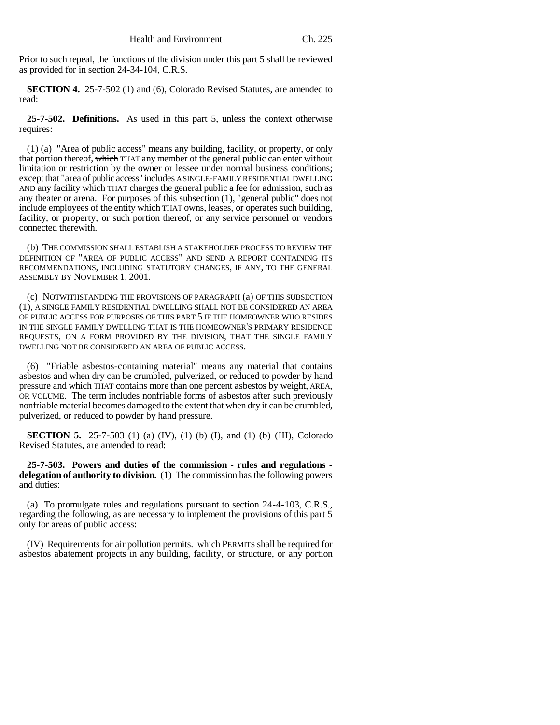Prior to such repeal, the functions of the division under this part 5 shall be reviewed as provided for in section 24-34-104, C.R.S.

**SECTION 4.** 25-7-502 (1) and (6), Colorado Revised Statutes, are amended to read:

**25-7-502. Definitions.** As used in this part 5, unless the context otherwise requires:

(1) (a) "Area of public access" means any building, facility, or property, or only that portion thereof, which THAT any member of the general public can enter without limitation or restriction by the owner or lessee under normal business conditions; except that "area of public access" includes A SINGLE-FAMILY RESIDENTIAL DWELLING AND any facility which THAT charges the general public a fee for admission, such as any theater or arena. For purposes of this subsection (1), "general public" does not include employees of the entity which THAT owns, leases, or operates such building, facility, or property, or such portion thereof, or any service personnel or vendors connected therewith.

(b) THE COMMISSION SHALL ESTABLISH A STAKEHOLDER PROCESS TO REVIEW THE DEFINITION OF "AREA OF PUBLIC ACCESS" AND SEND A REPORT CONTAINING ITS RECOMMENDATIONS, INCLUDING STATUTORY CHANGES, IF ANY, TO THE GENERAL ASSEMBLY BY NOVEMBER 1, 2001.

(c) NOTWITHSTANDING THE PROVISIONS OF PARAGRAPH (a) OF THIS SUBSECTION (1), A SINGLE FAMILY RESIDENTIAL DWELLING SHALL NOT BE CONSIDERED AN AREA OF PUBLIC ACCESS FOR PURPOSES OF THIS PART 5 IF THE HOMEOWNER WHO RESIDES IN THE SINGLE FAMILY DWELLING THAT IS THE HOMEOWNER'S PRIMARY RESIDENCE REQUESTS, ON A FORM PROVIDED BY THE DIVISION, THAT THE SINGLE FAMILY DWELLING NOT BE CONSIDERED AN AREA OF PUBLIC ACCESS.

(6) "Friable asbestos-containing material" means any material that contains asbestos and when dry can be crumbled, pulverized, or reduced to powder by hand pressure and which THAT contains more than one percent asbestos by weight, AREA, OR VOLUME. The term includes nonfriable forms of asbestos after such previously nonfriable material becomes damaged to the extent that when dry it can be crumbled, pulverized, or reduced to powder by hand pressure.

**SECTION 5.** 25-7-503 (1) (a) (IV), (1) (b) (I), and (1) (b) (III), Colorado Revised Statutes, are amended to read:

**25-7-503. Powers and duties of the commission - rules and regulations delegation of authority to division.** (1) The commission has the following powers and duties:

(a) To promulgate rules and regulations pursuant to section 24-4-103, C.R.S., regarding the following, as are necessary to implement the provisions of this part 5 only for areas of public access:

(IV) Requirements for air pollution permits. which PERMITS shall be required for asbestos abatement projects in any building, facility, or structure, or any portion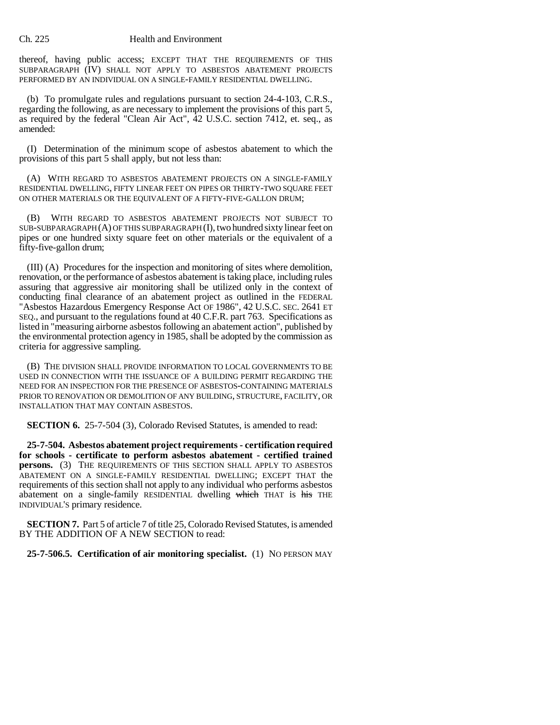## Ch. 225 Health and Environment

thereof, having public access; EXCEPT THAT THE REQUIREMENTS OF THIS SUBPARAGRAPH (IV) SHALL NOT APPLY TO ASBESTOS ABATEMENT PROJECTS PERFORMED BY AN INDIVIDUAL ON A SINGLE-FAMILY RESIDENTIAL DWELLING.

(b) To promulgate rules and regulations pursuant to section 24-4-103, C.R.S., regarding the following, as are necessary to implement the provisions of this part 5, as required by the federal "Clean Air Act", 42 U.S.C. section 7412, et. seq., as amended:

(I) Determination of the minimum scope of asbestos abatement to which the provisions of this part 5 shall apply, but not less than:

(A) WITH REGARD TO ASBESTOS ABATEMENT PROJECTS ON A SINGLE-FAMILY RESIDENTIAL DWELLING, FIFTY LINEAR FEET ON PIPES OR THIRTY-TWO SQUARE FEET ON OTHER MATERIALS OR THE EQUIVALENT OF A FIFTY-FIVE-GALLON DRUM;

(B) WITH REGARD TO ASBESTOS ABATEMENT PROJECTS NOT SUBJECT TO SUB-SUBPARAGRAPH (A) OF THIS SUBPARAGRAPH (I), two hundred sixty linear feet on pipes or one hundred sixty square feet on other materials or the equivalent of a fifty-five-gallon drum;

(III) (A) Procedures for the inspection and monitoring of sites where demolition, renovation, or the performance of asbestos abatement is taking place, including rules assuring that aggressive air monitoring shall be utilized only in the context of conducting final clearance of an abatement project as outlined in the FEDERAL "Asbestos Hazardous Emergency Response Act OF 1986", 42 U.S.C. SEC. 2641 ET SEQ., and pursuant to the regulations found at 40 C.F.R. part 763. Specifications as listed in "measuring airborne asbestos following an abatement action", published by the environmental protection agency in 1985, shall be adopted by the commission as criteria for aggressive sampling.

(B) THE DIVISION SHALL PROVIDE INFORMATION TO LOCAL GOVERNMENTS TO BE USED IN CONNECTION WITH THE ISSUANCE OF A BUILDING PERMIT REGARDING THE NEED FOR AN INSPECTION FOR THE PRESENCE OF ASBESTOS-CONTAINING MATERIALS PRIOR TO RENOVATION OR DEMOLITION OF ANY BUILDING, STRUCTURE, FACILITY, OR INSTALLATION THAT MAY CONTAIN ASBESTOS.

**SECTION 6.** 25-7-504 (3), Colorado Revised Statutes, is amended to read:

**25-7-504. Asbestos abatement project requirements - certification required for schools - certificate to perform asbestos abatement - certified trained persons.** (3) THE REQUIREMENTS OF THIS SECTION SHALL APPLY TO ASBESTOS ABATEMENT ON A SINGLE-FAMILY RESIDENTIAL DWELLING; EXCEPT THAT the requirements of this section shall not apply to any individual who performs asbestos abatement on a single-family RESIDENTIAL dwelling which THAT is his THE INDIVIDUAL'S primary residence.

**SECTION 7.** Part 5 of article 7 of title 25, Colorado Revised Statutes, is amended BY THE ADDITION OF A NEW SECTION to read:

**25-7-506.5. Certification of air monitoring specialist.** (1) NO PERSON MAY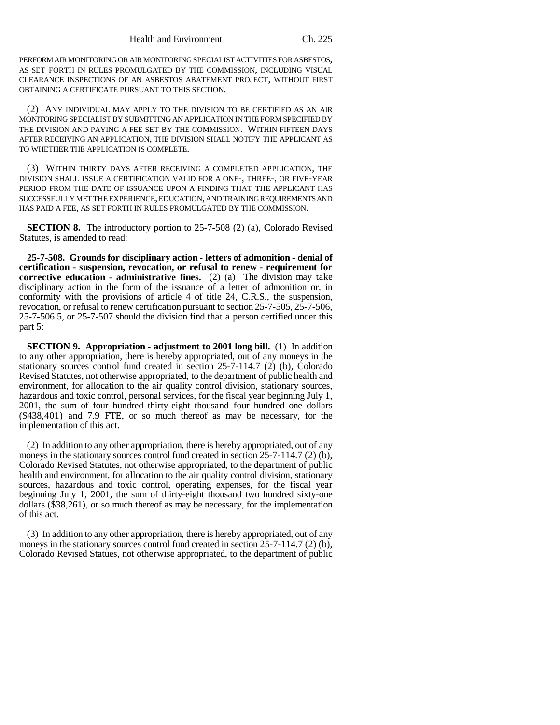PERFORM AIR MONITORING OR AIR MONITORING SPECIALIST ACTIVITIES FOR ASBESTOS, AS SET FORTH IN RULES PROMULGATED BY THE COMMISSION, INCLUDING VISUAL CLEARANCE INSPECTIONS OF AN ASBESTOS ABATEMENT PROJECT, WITHOUT FIRST OBTAINING A CERTIFICATE PURSUANT TO THIS SECTION.

(2) ANY INDIVIDUAL MAY APPLY TO THE DIVISION TO BE CERTIFIED AS AN AIR MONITORING SPECIALIST BY SUBMITTING AN APPLICATION IN THE FORM SPECIFIED BY THE DIVISION AND PAYING A FEE SET BY THE COMMISSION. WITHIN FIFTEEN DAYS AFTER RECEIVING AN APPLICATION, THE DIVISION SHALL NOTIFY THE APPLICANT AS TO WHETHER THE APPLICATION IS COMPLETE.

(3) WITHIN THIRTY DAYS AFTER RECEIVING A COMPLETED APPLICATION, THE DIVISION SHALL ISSUE A CERTIFICATION VALID FOR A ONE-, THREE-, OR FIVE-YEAR PERIOD FROM THE DATE OF ISSUANCE UPON A FINDING THAT THE APPLICANT HAS SUCCESSFULLY MET THE EXPERIENCE, EDUCATION, AND TRAINING REQUIREMENTS AND HAS PAID A FEE, AS SET FORTH IN RULES PROMULGATED BY THE COMMISSION.

**SECTION 8.** The introductory portion to 25-7-508 (2) (a), Colorado Revised Statutes, is amended to read:

**25-7-508. Grounds for disciplinary action - letters of admonition - denial of certification - suspension, revocation, or refusal to renew - requirement for corrective education - administrative fines.** (2) (a) The division may take disciplinary action in the form of the issuance of a letter of admonition or, in conformity with the provisions of article 4 of title 24, C.R.S., the suspension, revocation, or refusal to renew certification pursuant to section 25-7-505, 25-7-506, 25-7-506.5, or 25-7-507 should the division find that a person certified under this part 5:

**SECTION 9. Appropriation - adjustment to 2001 long bill.** (1) In addition to any other appropriation, there is hereby appropriated, out of any moneys in the stationary sources control fund created in section 25-7-114.7 (2) (b), Colorado Revised Statutes, not otherwise appropriated, to the department of public health and environment, for allocation to the air quality control division, stationary sources, hazardous and toxic control, personal services, for the fiscal year beginning July 1, 2001, the sum of four hundred thirty-eight thousand four hundred one dollars (\$438,401) and 7.9 FTE, or so much thereof as may be necessary, for the implementation of this act.

(2) In addition to any other appropriation, there is hereby appropriated, out of any moneys in the stationary sources control fund created in section 25-7-114.7 (2) (b), Colorado Revised Statutes, not otherwise appropriated, to the department of public health and environment, for allocation to the air quality control division, stationary sources, hazardous and toxic control, operating expenses, for the fiscal year beginning July 1, 2001, the sum of thirty-eight thousand two hundred sixty-one dollars (\$38,261), or so much thereof as may be necessary, for the implementation of this act.

(3) In addition to any other appropriation, there is hereby appropriated, out of any moneys in the stationary sources control fund created in section 25-7-114.7 (2) (b), Colorado Revised Statues, not otherwise appropriated, to the department of public